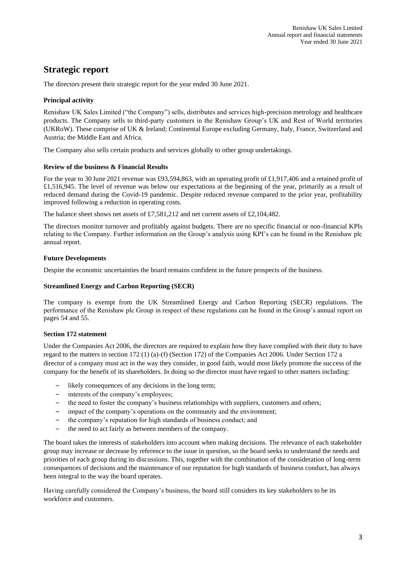# **Strategic report**

The directors present their strategic report for the year ended 30 June 2021.

## **Principal activity**

Renishaw UK Sales Limited ("the Company") sells, distributes and services high-precision metrology and healthcare products. The Company sells to third-party customers in the Renishaw Group's UK and Rest of World territories (UKRoW). These comprise of UK & Ireland; Continental Europe excluding Germany, Italy, France, Switzerland and Austria; the Middle East and Africa.

The Company also sells certain products and services globally to other group undertakings.

#### **Review of the business & Financial Results**

For the year to 30 June 2021 revenue was £93,594,863, with an operating profit of £1,917,406 and a retained profit of £1,516,945. The level of revenue was below our expectations at the beginning of the year, primarily as a result of reduced demand during the Covid-19 pandemic. Despite reduced revenue compared to the prior year, profitability improved following a reduction in operating costs.

The balance sheet shows net assets of £7,581,212 and net current assets of £2,104,482.

The directors monitor turnover and profitably against budgets. There are no specific financial or non-financial KPIs relating to the Company. Further information on the Group's analysis using KPI's can be found in the Renishaw plc annual report.

## **Future Developments**

Despite the economic uncertainties the board remains confident in the future prospects of the business.

#### **Streamlined Energy and Carbon Reporting (SECR)**

The company is exempt from the UK Streamlined Energy and Carbon Reporting (SECR) regulations. The performance of the Renishaw plc Group in respect of these regulations can be found in the Group's annual report on pages 54 and 55.

## **Section 172 statement**

Under the Companies Act 2006, the directors are required to explain how they have complied with their duty to have regard to the matters in section 172 (1) (a)-(f) (Section 172) of the Companies Act 2006. Under Section 172 a director of a company must act in the way they consider, in good faith, would most likely promote the success of the company for the benefit of its shareholders. In doing so the director must have regard to other matters including:

- likely consequences of any decisions in the long term;
- interests of the company's employees:
- the need to foster the company's business relationships with suppliers, customers and others;
- impact of the company's operations on the community and the environment;
- the company's reputation for high standards of business conduct; and
- the need to act fairly as between members of the company.

The board takes the interests of stakeholders into account when making decisions. The relevance of each stakeholder group may increase or decrease by reference to the issue in question, so the board seeks to understand the needs and priorities of each group during its discussions. This, together with the combination of the consideration of long-term consequences of decisions and the maintenance of our reputation for high standards of business conduct, has always been integral to the way the board operates.

Having carefully considered the Company's business, the board still considers its key stakeholders to be its workforce and customers.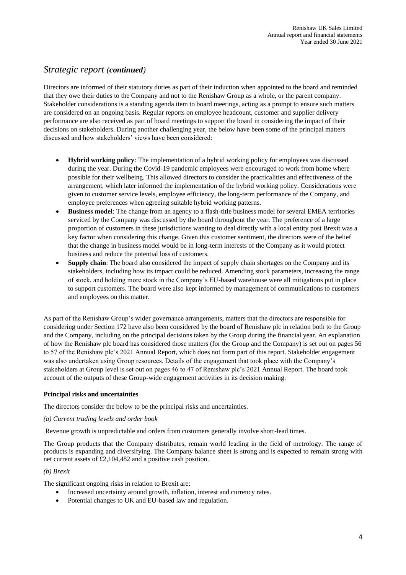## *Strategic report (continued)*

Directors are informed of their statutory duties as part of their induction when appointed to the board and reminded that they owe their duties to the Company and not to the Renishaw Group as a whole, or the parent company. Stakeholder considerations is a standing agenda item to board meetings, acting as a prompt to ensure such matters are considered on an ongoing basis. Regular reports on employee headcount, customer and supplier delivery performance are also received as part of board meetings to support the board in considering the impact of their decisions on stakeholders. During another challenging year, the below have been some of the principal matters discussed and how stakeholders' views have been considered:

- **Hybrid working policy**: The implementation of a hybrid working policy for employees was discussed during the year. During the Covid-19 pandemic employees were encouraged to work from home where possible for their wellbeing. This allowed directors to consider the practicalities and effectiveness of the arrangement, which later informed the implementation of the hybrid working policy. Considerations were given to customer service levels, employee efficiency, the long-term performance of the Company, and employee preferences when agreeing suitable hybrid working patterns.
- **Business model**: The change from an agency to a flash-title business model for several EMEA territories serviced by the Company was discussed by the board throughout the year. The preference of a large proportion of customers in these jurisdictions wanting to deal directly with a local entity post Brexit was a key factor when considering this change. Given this customer sentiment, the directors were of the belief that the change in business model would be in long-term interests of the Company as it would protect business and reduce the potential loss of customers.
- **Supply chain**: The board also considered the impact of supply chain shortages on the Company and its stakeholders, including how its impact could be reduced. Amending stock parameters, increasing the range of stock, and holding more stock in the Company's EU-based warehouse were all mitigations put in place to support customers. The board were also kept informed by management of communications to customers and employees on this matter.

As part of the Renishaw Group's wider governance arrangements, matters that the directors are responsible for considering under Section 172 have also been considered by the board of Renishaw plc in relation both to the Group and the Company, including on the principal decisions taken by the Group during the financial year. An explanation of how the Renishaw plc board has considered those matters (for the Group and the Company) is set out on pages 56 to 57 of the Renishaw plc's 2021 Annual Report, which does not form part of this report. Stakeholder engagement was also undertaken using Group resources. Details of the engagement that took place with the Company's stakeholders at Group level is set out on pages 46 to 47 of Renishaw plc's 2021 Annual Report. The board took account of the outputs of these Group-wide engagement activities in its decision making.

## **Principal risks and uncertainties**

The directors consider the below to be the principal risks and uncertainties.

#### *(a) Current trading levels and order book*

Revenue growth is unpredictable and orders from customers generally involve short-lead times.

The Group products that the Company distributes, remain world leading in the field of metrology. The range of products is expanding and diversifying. The Company balance sheet is strong and is expected to remain strong with net current assets of £2,104,482 and a positive cash position.

#### *(b) Brexit*

The significant ongoing risks in relation to Brexit are:

- Increased uncertainty around growth, inflation, interest and currency rates.
- Potential changes to UK and EU-based law and regulation.